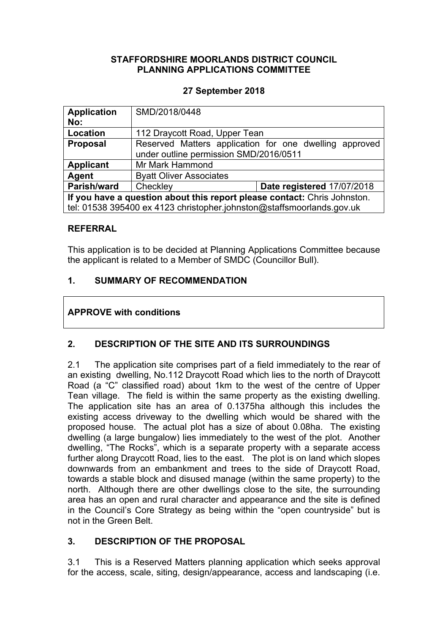## **STAFFORDSHIRE MOORLANDS DISTRICT COUNCIL PLANNING APPLICATIONS COMMITTEE**

## **27 September 2018**

| <b>Application</b><br>No:                                                | SMD/2018/0448                                                                                    |                            |
|--------------------------------------------------------------------------|--------------------------------------------------------------------------------------------------|----------------------------|
| Location                                                                 | 112 Draycott Road, Upper Tean                                                                    |                            |
| <b>Proposal</b>                                                          | Reserved Matters application for one dwelling approved<br>under outline permission SMD/2016/0511 |                            |
| <b>Applicant</b>                                                         | Mr Mark Hammond                                                                                  |                            |
| Agent                                                                    | <b>Byatt Oliver Associates</b>                                                                   |                            |
| Parish/ward                                                              | Checkley                                                                                         | Date registered 17/07/2018 |
| If you have a question about this report please contact: Chris Johnston. |                                                                                                  |                            |
| tel: 01538 395400 ex 4123 christopher.johnston@staffsmoorlands.gov.uk    |                                                                                                  |                            |

#### **REFERRAL**

This application is to be decided at Planning Applications Committee because the applicant is related to a Member of SMDC (Councillor Bull).

## **1. SUMMARY OF RECOMMENDATION**

## **APPROVE with conditions**

# **2. DESCRIPTION OF THE SITE AND ITS SURROUNDINGS**

2.1 The application site comprises part of a field immediately to the rear of an existing dwelling, No.112 Draycott Road which lies to the north of Draycott Road (a "C" classified road) about 1km to the west of the centre of Upper Tean village. The field is within the same property as the existing dwelling. The application site has an area of 0.1375ha although this includes the existing access driveway to the dwelling which would be shared with the proposed house. The actual plot has a size of about 0.08ha. The existing dwelling (a large bungalow) lies immediately to the west of the plot. Another dwelling, "The Rocks", which is a separate property with a separate access further along Draycott Road, lies to the east. The plot is on land which slopes downwards from an embankment and trees to the side of Draycott Road, towards a stable block and disused manage (within the same property) to the north. Although there are other dwellings close to the site, the surrounding area has an open and rural character and appearance and the site is defined in the Council's Core Strategy as being within the "open countryside" but is not in the Green Belt.

# **3. DESCRIPTION OF THE PROPOSAL**

3.1 This is a Reserved Matters planning application which seeks approval for the access, scale, siting, design/appearance, access and landscaping (i.e.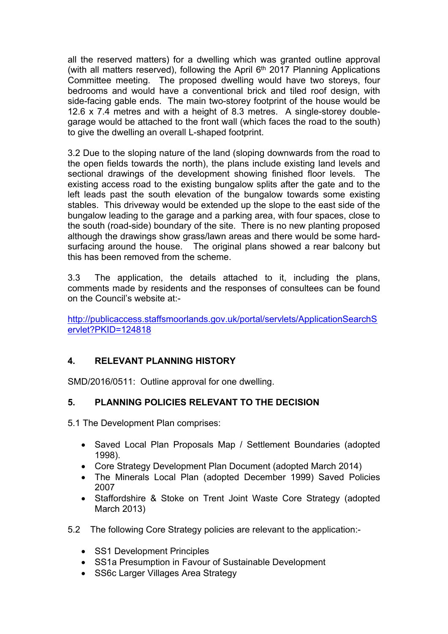all the reserved matters) for a dwelling which was granted outline approval (with all matters reserved), following the April 6<sup>th</sup> 2017 Planning Applications Committee meeting. The proposed dwelling would have two storeys, four bedrooms and would have a conventional brick and tiled roof design, with side-facing gable ends. The main two-storey footprint of the house would be 12.6 x 7.4 metres and with a height of 8.3 metres. A single-storey doublegarage would be attached to the front wall (which faces the road to the south) to give the dwelling an overall L-shaped footprint.

3.2 Due to the sloping nature of the land (sloping downwards from the road to the open fields towards the north), the plans include existing land levels and sectional drawings of the development showing finished floor levels. The existing access road to the existing bungalow splits after the gate and to the left leads past the south elevation of the bungalow towards some existing stables. This driveway would be extended up the slope to the east side of the bungalow leading to the garage and a parking area, with four spaces, close to the south (road-side) boundary of the site. There is no new planting proposed although the drawings show grass/lawn areas and there would be some hardsurfacing around the house. The original plans showed a rear balcony but this has been removed from the scheme.

3.3 The application, the details attached to it, including the plans, comments made by residents and the responses of consultees can be found on the Council's website at:-

[http://publicaccess.staffsmoorlands.gov.uk/portal/servlets/ApplicationSearchS](http://publicaccess.staffsmoorlands.gov.uk/portal/servlets/ApplicationSearchServlet?PKID=124818) [ervlet?PKID=124818](http://publicaccess.staffsmoorlands.gov.uk/portal/servlets/ApplicationSearchServlet?PKID=124818)

# **4. RELEVANT PLANNING HISTORY**

SMD/2016/0511: Outline approval for one dwelling.

### **5. PLANNING POLICIES RELEVANT TO THE DECISION**

5.1 The Development Plan comprises:

- Saved Local Plan Proposals Map / Settlement Boundaries (adopted 1998).
- Core Strategy Development Plan Document (adopted March 2014)
- The Minerals Local Plan (adopted December 1999) Saved Policies 2007
- Staffordshire & Stoke on Trent Joint Waste Core Strategy (adopted March 2013)
- 5.2 The following Core Strategy policies are relevant to the application:-
	- SS1 Development Principles
	- SS1a Presumption in Favour of Sustainable Development
	- SS6c Larger Villages Area Strategy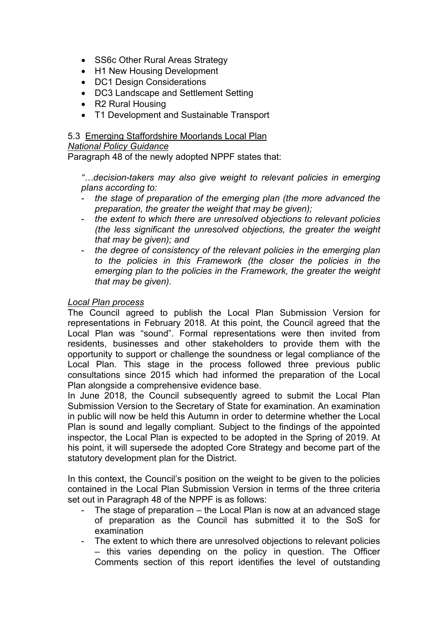- SS6c Other Rural Areas Strategy
- H1 New Housing Development
- DC1 Design Considerations
- DC3 Landscape and Settlement Setting
- R2 Rural Housing
- T1 Development and Sustainable Transport

#### 5.3 Emerging Staffordshire Moorlands Local Plan

#### *National Policy Guidance*

Paragraph 48 of the newly adopted NPPF states that:

*"…decision-takers may also give weight to relevant policies in emerging plans according to:*

- *the stage of preparation of the emerging plan (the more advanced the preparation, the greater the weight that may be given);*
- *the extent to which there are unresolved objections to relevant policies (the less significant the unresolved objections, the greater the weight that may be given); and*
- *the degree of consistency of the relevant policies in the emerging plan to the policies in this Framework (the closer the policies in the emerging plan to the policies in the Framework, the greater the weight that may be given).*

#### *Local Plan process*

The Council agreed to publish the Local Plan Submission Version for representations in February 2018. At this point, the Council agreed that the Local Plan was "sound". Formal representations were then invited from residents, businesses and other stakeholders to provide them with the opportunity to support or challenge the soundness or legal compliance of the Local Plan. This stage in the process followed three previous public consultations since 2015 which had informed the preparation of the Local Plan alongside a comprehensive evidence base.

In June 2018, the Council subsequently agreed to submit the Local Plan Submission Version to the Secretary of State for examination. An examination in public will now be held this Autumn in order to determine whether the Local Plan is sound and legally compliant. Subject to the findings of the appointed inspector, the Local Plan is expected to be adopted in the Spring of 2019. At his point, it will supersede the adopted Core Strategy and become part of the statutory development plan for the District.

In this context, the Council's position on the weight to be given to the policies contained in the Local Plan Submission Version in terms of the three criteria set out in Paragraph 48 of the NPPF is as follows:

- The stage of preparation the Local Plan is now at an advanced stage of preparation as the Council has submitted it to the SoS for examination
- The extent to which there are unresolved objections to relevant policies – this varies depending on the policy in question. The Officer Comments section of this report identifies the level of outstanding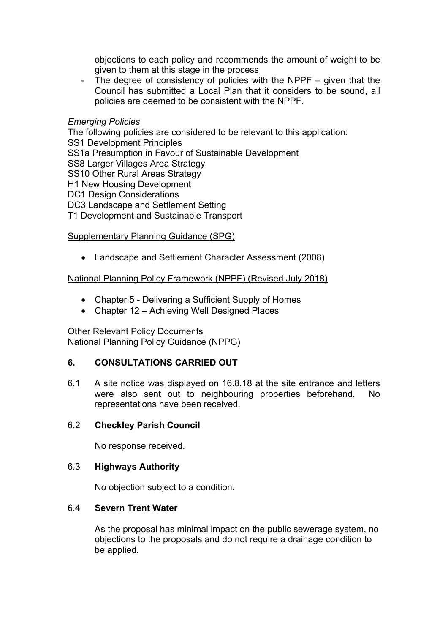objections to each policy and recommends the amount of weight to be given to them at this stage in the process

- The degree of consistency of policies with the NPPF – given that the Council has submitted a Local Plan that it considers to be sound, all policies are deemed to be consistent with the NPPF.

#### *Emerging Policies*

The following policies are considered to be relevant to this application: SS1 Development Principles SS1a Presumption in Favour of Sustainable Development SS8 Larger Villages Area Strategy SS10 Other Rural Areas Strategy H1 New Housing Development DC1 Design Considerations DC3 Landscape and Settlement Setting T1 Development and Sustainable Transport

### Supplementary Planning Guidance (SPG)

Landscape and Settlement Character Assessment (2008)

### National Planning Policy Framework (NPPF) (Revised July 2018)

- Chapter 5 Delivering a Sufficient Supply of Homes
- Chapter 12 Achieving Well Designed Places

### Other Relevant Policy Documents

National Planning Policy Guidance (NPPG)

### **6. CONSULTATIONS CARRIED OUT**

6.1 A site notice was displayed on 16.8.18 at the site entrance and letters were also sent out to neighbouring properties beforehand. No representations have been received.

### 6.2 **Checkley Parish Council**

No response received.

## 6.3 **Highways Authority**

No objection subject to a condition.

### 6.4 **Severn Trent Water**

As the proposal has minimal impact on the public sewerage system, no objections to the proposals and do not require a drainage condition to be applied.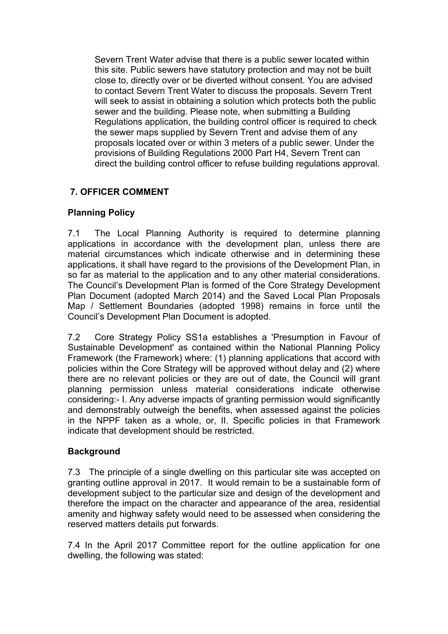Severn Trent Water advise that there is a public sewer located within this site. Public sewers have statutory protection and may not be built close to, directly over or be diverted without consent. You are advised to contact Severn Trent Water to discuss the proposals. Severn Trent will seek to assist in obtaining a solution which protects both the public sewer and the building. Please note, when submitting a Building Regulations application, the building control officer is required to check the sewer maps supplied by Severn Trent and advise them of any proposals located over or within 3 meters of a public sewer. Under the provisions of Building Regulations 2000 Part H4, Severn Trent can direct the building control officer to refuse building regulations approval.

# **7. OFFICER COMMENT**

# **Planning Policy**

7.1 The Local Planning Authority is required to determine planning applications in accordance with the development plan, unless there are material circumstances which indicate otherwise and in determining these applications, it shall have regard to the provisions of the Development Plan, in so far as material to the application and to any other material considerations. The Council's Development Plan is formed of the Core Strategy Development Plan Document (adopted March 2014) and the Saved Local Plan Proposals Map / Settlement Boundaries (adopted 1998) remains in force until the Council's Development Plan Document is adopted.

7.2 Core Strategy Policy SS1a establishes a 'Presumption in Favour of Sustainable Development' as contained within the National Planning Policy Framework (the Framework) where: (1) planning applications that accord with policies within the Core Strategy will be approved without delay and (2) where there are no relevant policies or they are out of date, the Council will grant planning permission unless material considerations indicate otherwise considering:- I. Any adverse impacts of granting permission would significantly and demonstrably outweigh the benefits, when assessed against the policies in the NPPF taken as a whole, or, II. Specific policies in that Framework indicate that development should be restricted.

# **Background**

7.3 The principle of a single dwelling on this particular site was accepted on granting outline approval in 2017. It would remain to be a sustainable form of development subject to the particular size and design of the development and therefore the impact on the character and appearance of the area, residential amenity and highway safety would need to be assessed when considering the reserved matters details put forwards.

7.4 In the April 2017 Committee report for the outline application for one dwelling, the following was stated: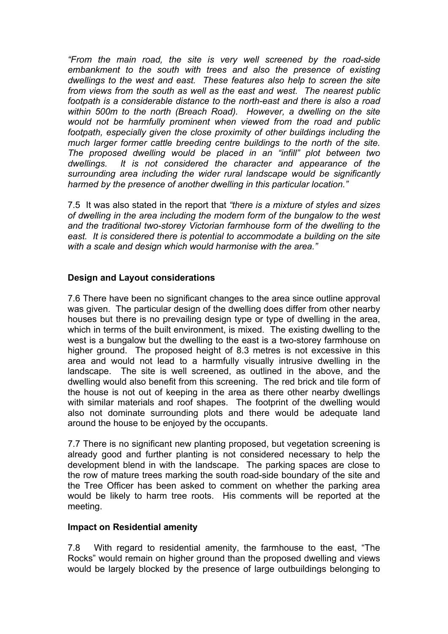*"From the main road, the site is very well screened by the road-side embankment to the south with trees and also the presence of existing dwellings to the west and east. These features also help to screen the site from views from the south as well as the east and west. The nearest public footpath is a considerable distance to the north-east and there is also a road within 500m to the north (Breach Road). However, a dwelling on the site would not be harmfully prominent when viewed from the road and public footpath, especially given the close proximity of other buildings including the much larger former cattle breeding centre buildings to the north of the site. The proposed dwelling would be placed in an "infill" plot between two dwellings. It is not considered the character and appearance of the surrounding area including the wider rural landscape would be significantly harmed by the presence of another dwelling in this particular location."*

7.5 It was also stated in the report that *"there is a mixture of styles and sizes of dwelling in the area including the modern form of the bungalow to the west and the traditional two-storey Victorian farmhouse form of the dwelling to the east. It is considered there is potential to accommodate a building on the site with a scale and design which would harmonise with the area."*

## **Design and Layout considerations**

7.6 There have been no significant changes to the area since outline approval was given. The particular design of the dwelling does differ from other nearby houses but there is no prevailing design type or type of dwelling in the area, which in terms of the built environment, is mixed. The existing dwelling to the west is a bungalow but the dwelling to the east is a two-storey farmhouse on higher ground. The proposed height of 8.3 metres is not excessive in this area and would not lead to a harmfully visually intrusive dwelling in the landscape. The site is well screened, as outlined in the above, and the dwelling would also benefit from this screening. The red brick and tile form of the house is not out of keeping in the area as there other nearby dwellings with similar materials and roof shapes. The footprint of the dwelling would also not dominate surrounding plots and there would be adequate land around the house to be enjoyed by the occupants.

7.7 There is no significant new planting proposed, but vegetation screening is already good and further planting is not considered necessary to help the development blend in with the landscape. The parking spaces are close to the row of mature trees marking the south road-side boundary of the site and the Tree Officer has been asked to comment on whether the parking area would be likely to harm tree roots. His comments will be reported at the meeting.

## **Impact on Residential amenity**

7.8 With regard to residential amenity, the farmhouse to the east, "The Rocks" would remain on higher ground than the proposed dwelling and views would be largely blocked by the presence of large outbuildings belonging to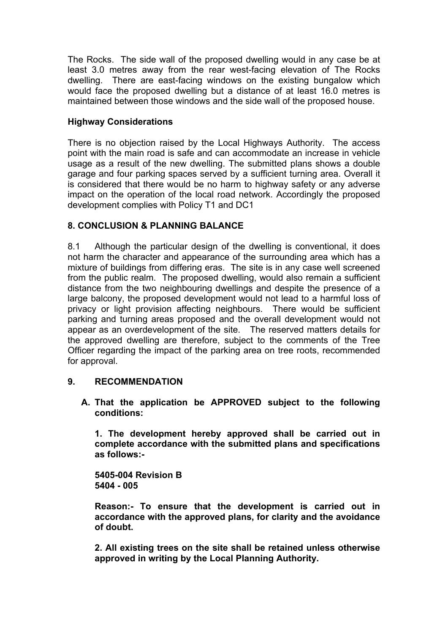The Rocks. The side wall of the proposed dwelling would in any case be at least 3.0 metres away from the rear west-facing elevation of The Rocks dwelling. There are east-facing windows on the existing bungalow which would face the proposed dwelling but a distance of at least 16.0 metres is maintained between those windows and the side wall of the proposed house.

# **Highway Considerations**

There is no objection raised by the Local Highways Authority. The access point with the main road is safe and can accommodate an increase in vehicle usage as a result of the new dwelling. The submitted plans shows a double garage and four parking spaces served by a sufficient turning area. Overall it is considered that there would be no harm to highway safety or any adverse impact on the operation of the local road network. Accordingly the proposed development complies with Policy T1 and DC1

# **8. CONCLUSION & PLANNING BALANCE**

8.1 Although the particular design of the dwelling is conventional, it does not harm the character and appearance of the surrounding area which has a mixture of buildings from differing eras. The site is in any case well screened from the public realm. The proposed dwelling, would also remain a sufficient distance from the two neighbouring dwellings and despite the presence of a large balcony, the proposed development would not lead to a harmful loss of privacy or light provision affecting neighbours. There would be sufficient parking and turning areas proposed and the overall development would not appear as an overdevelopment of the site. The reserved matters details for the approved dwelling are therefore, subject to the comments of the Tree Officer regarding the impact of the parking area on tree roots, recommended for approval.

# **9. RECOMMENDATION**

**A. That the application be APPROVED subject to the following conditions:**

**1. The development hereby approved shall be carried out in complete accordance with the submitted plans and specifications as follows:-**

**5405-004 Revision B 5404 - 005**

**Reason:- To ensure that the development is carried out in accordance with the approved plans, for clarity and the avoidance of doubt.**

**2. All existing trees on the site shall be retained unless otherwise approved in writing by the Local Planning Authority.**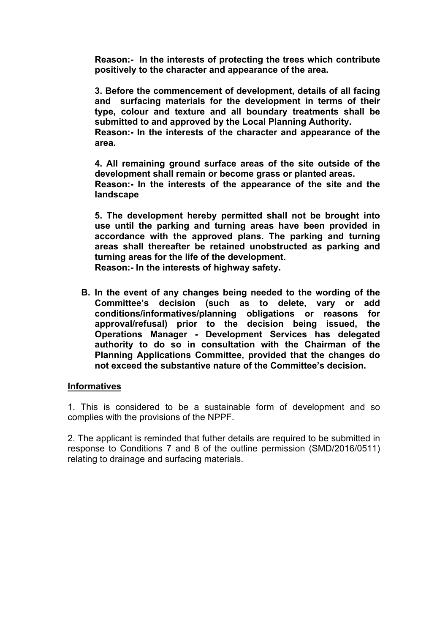**Reason:- In the interests of protecting the trees which contribute positively to the character and appearance of the area.**

**3. Before the commencement of development, details of all facing and surfacing materials for the development in terms of their type, colour and texture and all boundary treatments shall be submitted to and approved by the Local Planning Authority.**

**Reason:- In the interests of the character and appearance of the area.** 

**4. All remaining ground surface areas of the site outside of the development shall remain or become grass or planted areas. Reason:- In the interests of the appearance of the site and the landscape**

**5. The development hereby permitted shall not be brought into use until the parking and turning areas have been provided in accordance with the approved plans. The parking and turning areas shall thereafter be retained unobstructed as parking and turning areas for the life of the development.**

**Reason:- In the interests of highway safety.**

**B. In the event of any changes being needed to the wording of the Committee's decision (such as to delete, vary or add conditions/informatives/planning obligations or reasons for approval/refusal) prior to the decision being issued, the Operations Manager - Development Services has delegated authority to do so in consultation with the Chairman of the Planning Applications Committee, provided that the changes do not exceed the substantive nature of the Committee's decision.**

### **Informatives**

1. This is considered to be a sustainable form of development and so complies with the provisions of the NPPF.

2. The applicant is reminded that futher details are required to be submitted in response to Conditions 7 and 8 of the outline permission (SMD/2016/0511) relating to drainage and surfacing materials.